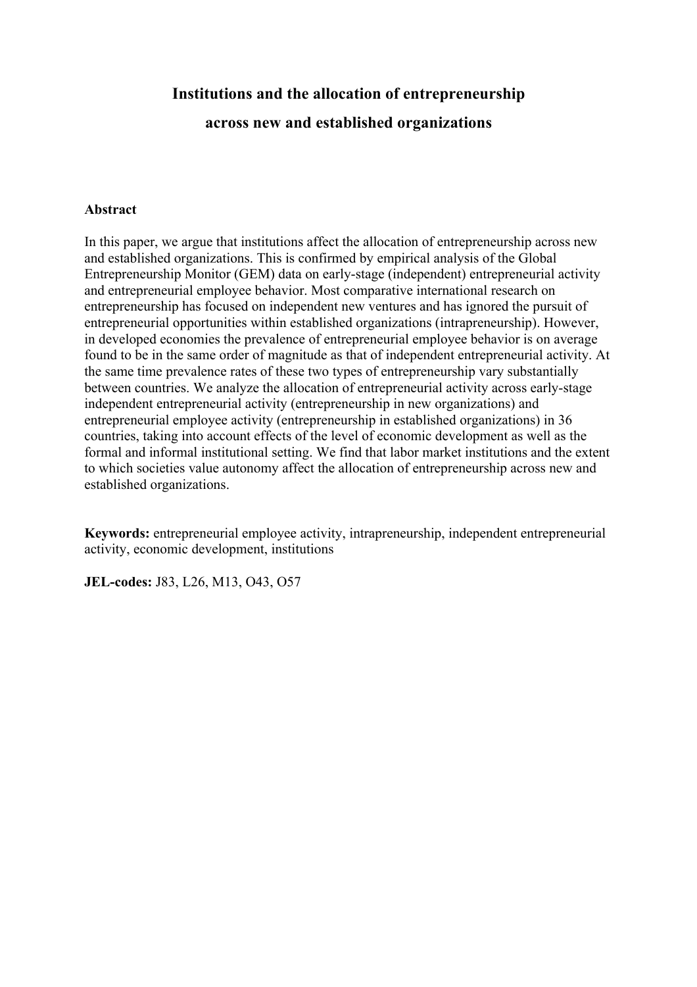# **Institutions and the allocation of entrepreneurship across new and established organizations**

## **Abstract**

In this paper, we argue that institutions affect the allocation of entrepreneurship across new and established organizations. This is confirmed by empirical analysis of the Global Entrepreneurship Monitor (GEM) data on early-stage (independent) entrepreneurial activity and entrepreneurial employee behavior. Most comparative international research on entrepreneurship has focused on independent new ventures and has ignored the pursuit of entrepreneurial opportunities within established organizations (intrapreneurship). However, in developed economies the prevalence of entrepreneurial employee behavior is on average found to be in the same order of magnitude as that of independent entrepreneurial activity. At the same time prevalence rates of these two types of entrepreneurship vary substantially between countries. We analyze the allocation of entrepreneurial activity across early-stage independent entrepreneurial activity (entrepreneurship in new organizations) and entrepreneurial employee activity (entrepreneurship in established organizations) in 36 countries, taking into account effects of the level of economic development as well as the formal and informal institutional setting. We find that labor market institutions and the extent to which societies value autonomy affect the allocation of entrepreneurship across new and established organizations.

**Keywords:** entrepreneurial employee activity, intrapreneurship, independent entrepreneurial activity, economic development, institutions

**JEL-codes:** J83, L26, M13, O43, O57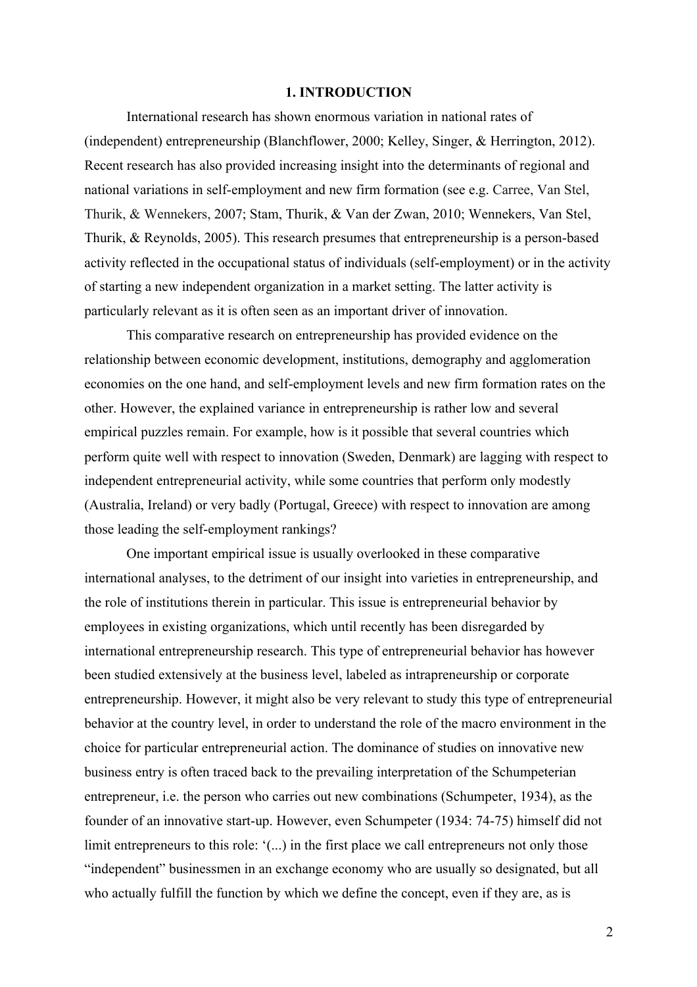#### **1. INTRODUCTION**

International research has shown enormous variation in national rates of (independent) entrepreneurship (Blanchflower, 2000; Kelley, Singer, & Herrington, 2012). Recent research has also provided increasing insight into the determinants of regional and national variations in self-employment and new firm formation (see e.g. Carree, Van Stel, Thurik, & Wennekers, 2007; Stam, Thurik, & Van der Zwan, 2010; Wennekers, Van Stel, Thurik, & Reynolds, 2005). This research presumes that entrepreneurship is a person-based activity reflected in the occupational status of individuals (self-employment) or in the activity of starting a new independent organization in a market setting. The latter activity is particularly relevant as it is often seen as an important driver of innovation.

This comparative research on entrepreneurship has provided evidence on the relationship between economic development, institutions, demography and agglomeration economies on the one hand, and self-employment levels and new firm formation rates on the other. However, the explained variance in entrepreneurship is rather low and several empirical puzzles remain. For example, how is it possible that several countries which perform quite well with respect to innovation (Sweden, Denmark) are lagging with respect to independent entrepreneurial activity, while some countries that perform only modestly (Australia, Ireland) or very badly (Portugal, Greece) with respect to innovation are among those leading the self-employment rankings?

One important empirical issue is usually overlooked in these comparative international analyses, to the detriment of our insight into varieties in entrepreneurship, and the role of institutions therein in particular. This issue is entrepreneurial behavior by employees in existing organizations, which until recently has been disregarded by international entrepreneurship research. This type of entrepreneurial behavior has however been studied extensively at the business level, labeled as intrapreneurship or corporate entrepreneurship. However, it might also be very relevant to study this type of entrepreneurial behavior at the country level, in order to understand the role of the macro environment in the choice for particular entrepreneurial action. The dominance of studies on innovative new business entry is often traced back to the prevailing interpretation of the Schumpeterian entrepreneur, i.e. the person who carries out new combinations (Schumpeter, 1934), as the founder of an innovative start-up. However, even Schumpeter (1934: 74-75) himself did not limit entrepreneurs to this role: '(...) in the first place we call entrepreneurs not only those "independent" businessmen in an exchange economy who are usually so designated, but all who actually fulfill the function by which we define the concept, even if they are, as is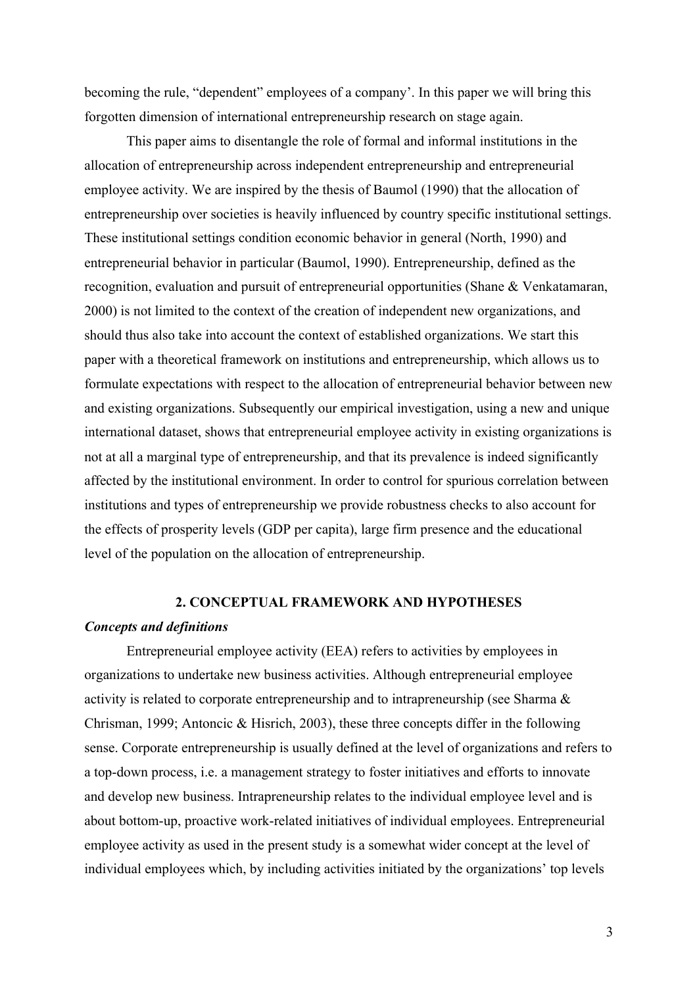becoming the rule, "dependent" employees of a company'. In this paper we will bring this forgotten dimension of international entrepreneurship research on stage again.

This paper aims to disentangle the role of formal and informal institutions in the allocation of entrepreneurship across independent entrepreneurship and entrepreneurial employee activity. We are inspired by the thesis of Baumol (1990) that the allocation of entrepreneurship over societies is heavily influenced by country specific institutional settings. These institutional settings condition economic behavior in general (North, 1990) and entrepreneurial behavior in particular (Baumol, 1990). Entrepreneurship, defined as the recognition, evaluation and pursuit of entrepreneurial opportunities (Shane & Venkatamaran, 2000) is not limited to the context of the creation of independent new organizations, and should thus also take into account the context of established organizations. We start this paper with a theoretical framework on institutions and entrepreneurship, which allows us to formulate expectations with respect to the allocation of entrepreneurial behavior between new and existing organizations. Subsequently our empirical investigation, using a new and unique international dataset, shows that entrepreneurial employee activity in existing organizations is not at all a marginal type of entrepreneurship, and that its prevalence is indeed significantly affected by the institutional environment. In order to control for spurious correlation between institutions and types of entrepreneurship we provide robustness checks to also account for the effects of prosperity levels (GDP per capita), large firm presence and the educational level of the population on the allocation of entrepreneurship.

# **2. CONCEPTUAL FRAMEWORK AND HYPOTHESES**

#### *Concepts and definitions*

Entrepreneurial employee activity (EEA) refers to activities by employees in organizations to undertake new business activities. Although entrepreneurial employee activity is related to corporate entrepreneurship and to intrapreneurship (see Sharma & Chrisman, 1999; Antoncic & Hisrich, 2003), these three concepts differ in the following sense. Corporate entrepreneurship is usually defined at the level of organizations and refers to a top-down process, i.e. a management strategy to foster initiatives and efforts to innovate and develop new business. Intrapreneurship relates to the individual employee level and is about bottom-up, proactive work-related initiatives of individual employees. Entrepreneurial employee activity as used in the present study is a somewhat wider concept at the level of individual employees which, by including activities initiated by the organizations' top levels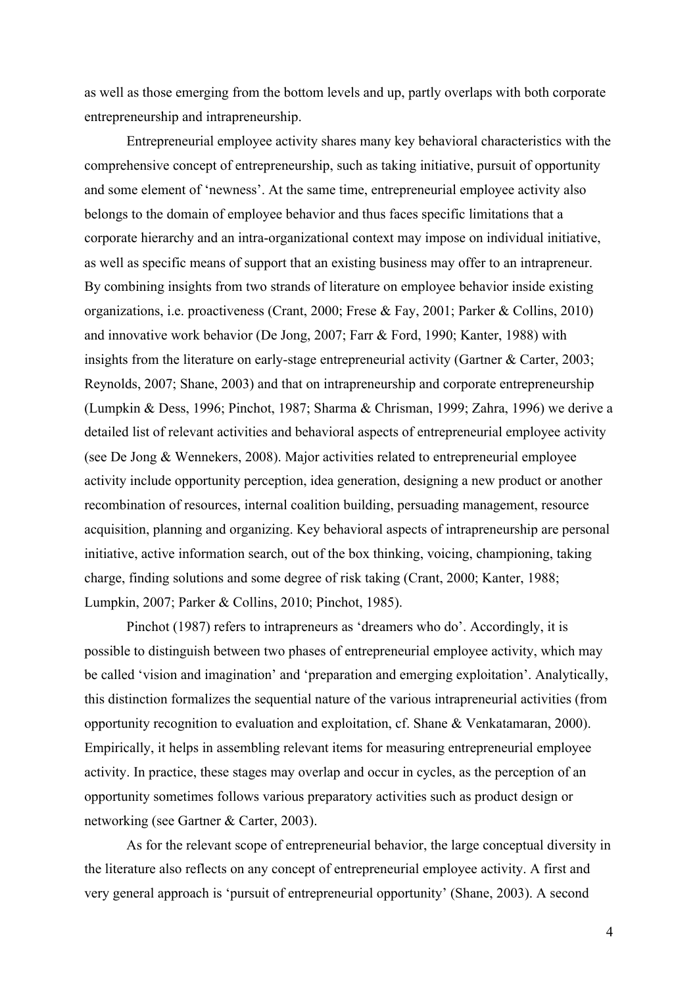as well as those emerging from the bottom levels and up, partly overlaps with both corporate entrepreneurship and intrapreneurship.

Entrepreneurial employee activity shares many key behavioral characteristics with the comprehensive concept of entrepreneurship, such as taking initiative, pursuit of opportunity and some element of 'newness'. At the same time, entrepreneurial employee activity also belongs to the domain of employee behavior and thus faces specific limitations that a corporate hierarchy and an intra-organizational context may impose on individual initiative, as well as specific means of support that an existing business may offer to an intrapreneur. By combining insights from two strands of literature on employee behavior inside existing organizations, i.e. proactiveness (Crant, 2000; Frese & Fay, 2001; Parker & Collins, 2010) and innovative work behavior (De Jong, 2007; Farr & Ford, 1990; Kanter, 1988) with insights from the literature on early-stage entrepreneurial activity (Gartner & Carter, 2003; Reynolds, 2007; Shane, 2003) and that on intrapreneurship and corporate entrepreneurship (Lumpkin & Dess, 1996; Pinchot, 1987; Sharma & Chrisman, 1999; Zahra, 1996) we derive a detailed list of relevant activities and behavioral aspects of entrepreneurial employee activity (see De Jong & Wennekers, 2008). Major activities related to entrepreneurial employee activity include opportunity perception, idea generation, designing a new product or another recombination of resources, internal coalition building, persuading management, resource acquisition, planning and organizing. Key behavioral aspects of intrapreneurship are personal initiative, active information search, out of the box thinking, voicing, championing, taking charge, finding solutions and some degree of risk taking (Crant, 2000; Kanter, 1988; Lumpkin, 2007; Parker & Collins, 2010; Pinchot, 1985).

Pinchot (1987) refers to intrapreneurs as 'dreamers who do'. Accordingly, it is possible to distinguish between two phases of entrepreneurial employee activity, which may be called 'vision and imagination' and 'preparation and emerging exploitation'. Analytically, this distinction formalizes the sequential nature of the various intrapreneurial activities (from opportunity recognition to evaluation and exploitation, cf. Shane & Venkatamaran, 2000). Empirically, it helps in assembling relevant items for measuring entrepreneurial employee activity. In practice, these stages may overlap and occur in cycles, as the perception of an opportunity sometimes follows various preparatory activities such as product design or networking (see Gartner & Carter, 2003).

As for the relevant scope of entrepreneurial behavior, the large conceptual diversity in the literature also reflects on any concept of entrepreneurial employee activity. A first and very general approach is 'pursuit of entrepreneurial opportunity' (Shane, 2003). A second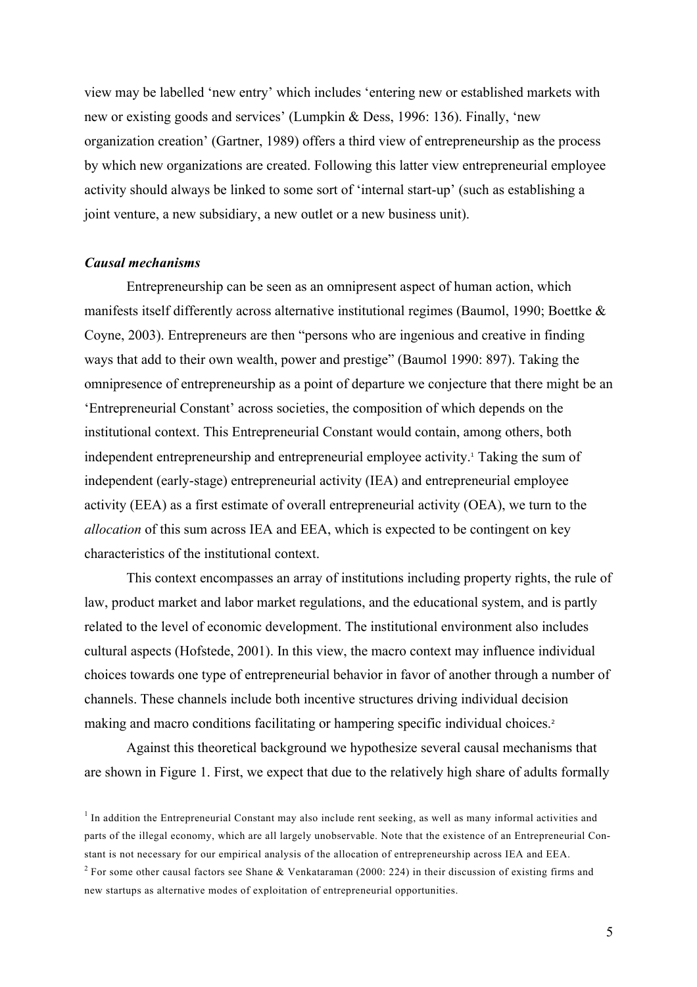view may be labelled 'new entry' which includes 'entering new or established markets with new or existing goods and services' (Lumpkin & Dess, 1996: 136). Finally, 'new organization creation' (Gartner, 1989) offers a third view of entrepreneurship as the process by which new organizations are created. Following this latter view entrepreneurial employee activity should always be linked to some sort of 'internal start-up' (such as establishing a joint venture, a new subsidiary, a new outlet or a new business unit).

#### *Causal mechanisms*

Entrepreneurship can be seen as an omnipresent aspect of human action, which manifests itself differently across alternative institutional regimes (Baumol, 1990; Boettke & Coyne, 2003). Entrepreneurs are then "persons who are ingenious and creative in finding ways that add to their own wealth, power and prestige" (Baumol 1990: 897). Taking the omnipresence of entrepreneurship as a point of departure we conjecture that there might be an 'Entrepreneurial Constant' across societies, the composition of which depends on the institutional context. This Entrepreneurial Constant would contain, among others, both independent entrepreneurship and entrepreneurial employee activity. <sup>1</sup> Taking the sum of independent (early-stage) entrepreneurial activity (IEA) and entrepreneurial employee activity (EEA) as a first estimate of overall entrepreneurial activity (OEA), we turn to the *allocation* of this sum across IEA and EEA, which is expected to be contingent on key characteristics of the institutional context.

This context encompasses an array of institutions including property rights, the rule of law, product market and labor market regulations, and the educational system, and is partly related to the level of economic development. The institutional environment also includes cultural aspects (Hofstede, 2001). In this view, the macro context may influence individual choices towards one type of entrepreneurial behavior in favor of another through a number of channels. These channels include both incentive structures driving individual decision making and macro conditions facilitating or hampering specific individual choices.<sup>2</sup>

Against this theoretical background we hypothesize several causal mechanisms that are shown in Figure 1. First, we expect that due to the relatively high share of adults formally

<sup>&</sup>lt;sup>1</sup> In addition the Entrepreneurial Constant may also include rent seeking, as well as many informal activities and parts of the illegal economy, which are all largely unobservable. Note that the existence of an Entrepreneurial Constant is not necessary for our empirical analysis of the allocation of entrepreneurship across IEA and EEA. <sup>2</sup> For some other causal factors see Shane & Venkataraman (2000: 224) in their discussion of existing firms and new startups as alternative modes of exploitation of entrepreneurial opportunities.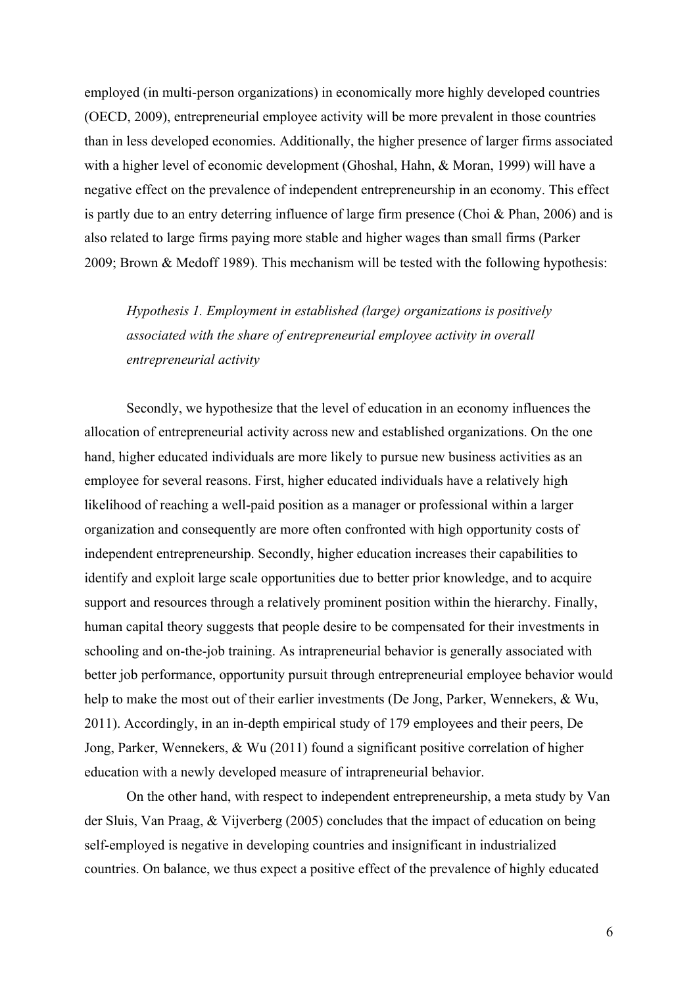employed (in multi-person organizations) in economically more highly developed countries (OECD, 2009), entrepreneurial employee activity will be more prevalent in those countries than in less developed economies. Additionally, the higher presence of larger firms associated with a higher level of economic development (Ghoshal, Hahn, & Moran, 1999) will have a negative effect on the prevalence of independent entrepreneurship in an economy. This effect is partly due to an entry deterring influence of large firm presence (Choi & Phan, 2006) and is also related to large firms paying more stable and higher wages than small firms (Parker 2009; Brown & Medoff 1989). This mechanism will be tested with the following hypothesis:

*Hypothesis 1. Employment in established (large) organizations is positively associated with the share of entrepreneurial employee activity in overall entrepreneurial activity*

Secondly, we hypothesize that the level of education in an economy influences the allocation of entrepreneurial activity across new and established organizations. On the one hand, higher educated individuals are more likely to pursue new business activities as an employee for several reasons. First, higher educated individuals have a relatively high likelihood of reaching a well-paid position as a manager or professional within a larger organization and consequently are more often confronted with high opportunity costs of independent entrepreneurship. Secondly, higher education increases their capabilities to identify and exploit large scale opportunities due to better prior knowledge, and to acquire support and resources through a relatively prominent position within the hierarchy. Finally, human capital theory suggests that people desire to be compensated for their investments in schooling and on-the-job training. As intrapreneurial behavior is generally associated with better job performance, opportunity pursuit through entrepreneurial employee behavior would help to make the most out of their earlier investments (De Jong, Parker, Wennekers, & Wu, 2011). Accordingly, in an in-depth empirical study of 179 employees and their peers, De Jong, Parker, Wennekers, & Wu (2011) found a significant positive correlation of higher education with a newly developed measure of intrapreneurial behavior.

On the other hand, with respect to independent entrepreneurship, a meta study by Van der Sluis, Van Praag, & Vijverberg (2005) concludes that the impact of education on being self-employed is negative in developing countries and insignificant in industrialized countries. On balance, we thus expect a positive effect of the prevalence of highly educated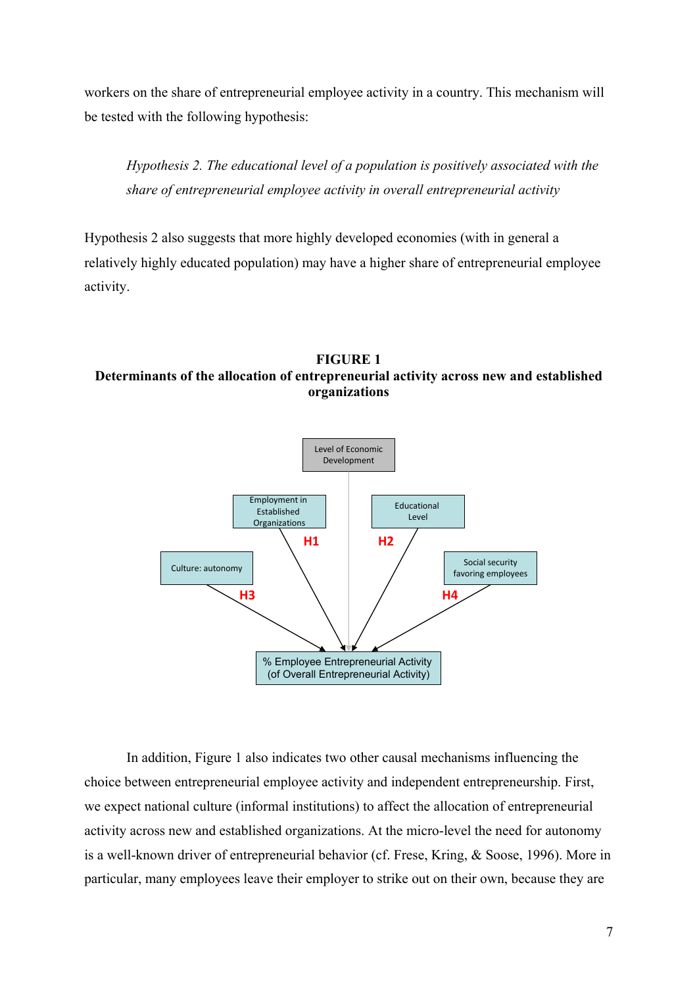workers on the share of entrepreneurial employee activity in a country. This mechanism will be tested with the following hypothesis:

*Hypothesis 2. The educational level of a population is positively associated with the share of entrepreneurial employee activity in overall entrepreneurial activity*

Hypothesis 2 also suggests that more highly developed economies (with in general a relatively highly educated population) may have a higher share of entrepreneurial employee activity.

# **FIGURE 1 Determinants of the allocation of entrepreneurial activity across new and established organizations**



In addition, Figure 1 also indicates two other causal mechanisms influencing the choice between entrepreneurial employee activity and independent entrepreneurship. First, we expect national culture (informal institutions) to affect the allocation of entrepreneurial activity across new and established organizations. At the micro-level the need for autonomy is a well-known driver of entrepreneurial behavior (cf. Frese, Kring, & Soose, 1996). More in particular, many employees leave their employer to strike out on their own, because they are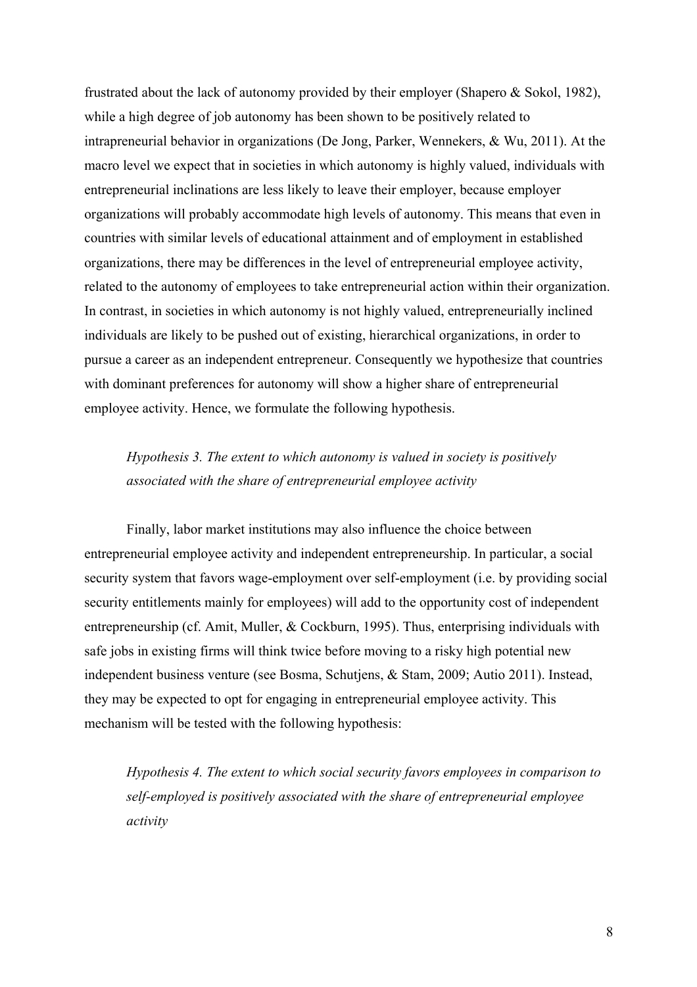frustrated about the lack of autonomy provided by their employer (Shapero & Sokol, 1982), while a high degree of job autonomy has been shown to be positively related to intrapreneurial behavior in organizations (De Jong, Parker, Wennekers, & Wu, 2011). At the macro level we expect that in societies in which autonomy is highly valued, individuals with entrepreneurial inclinations are less likely to leave their employer, because employer organizations will probably accommodate high levels of autonomy. This means that even in countries with similar levels of educational attainment and of employment in established organizations, there may be differences in the level of entrepreneurial employee activity, related to the autonomy of employees to take entrepreneurial action within their organization. In contrast, in societies in which autonomy is not highly valued, entrepreneurially inclined individuals are likely to be pushed out of existing, hierarchical organizations, in order to pursue a career as an independent entrepreneur. Consequently we hypothesize that countries with dominant preferences for autonomy will show a higher share of entrepreneurial employee activity. Hence, we formulate the following hypothesis.

# *Hypothesis 3. The extent to which autonomy is valued in society is positively associated with the share of entrepreneurial employee activity*

Finally, labor market institutions may also influence the choice between entrepreneurial employee activity and independent entrepreneurship. In particular, a social security system that favors wage-employment over self-employment (i.e. by providing social security entitlements mainly for employees) will add to the opportunity cost of independent entrepreneurship (cf. Amit, Muller, & Cockburn, 1995). Thus, enterprising individuals with safe jobs in existing firms will think twice before moving to a risky high potential new independent business venture (see Bosma, Schutjens, & Stam, 2009; Autio 2011). Instead, they may be expected to opt for engaging in entrepreneurial employee activity. This mechanism will be tested with the following hypothesis:

*Hypothesis 4. The extent to which social security favors employees in comparison to self-employed is positively associated with the share of entrepreneurial employee activity*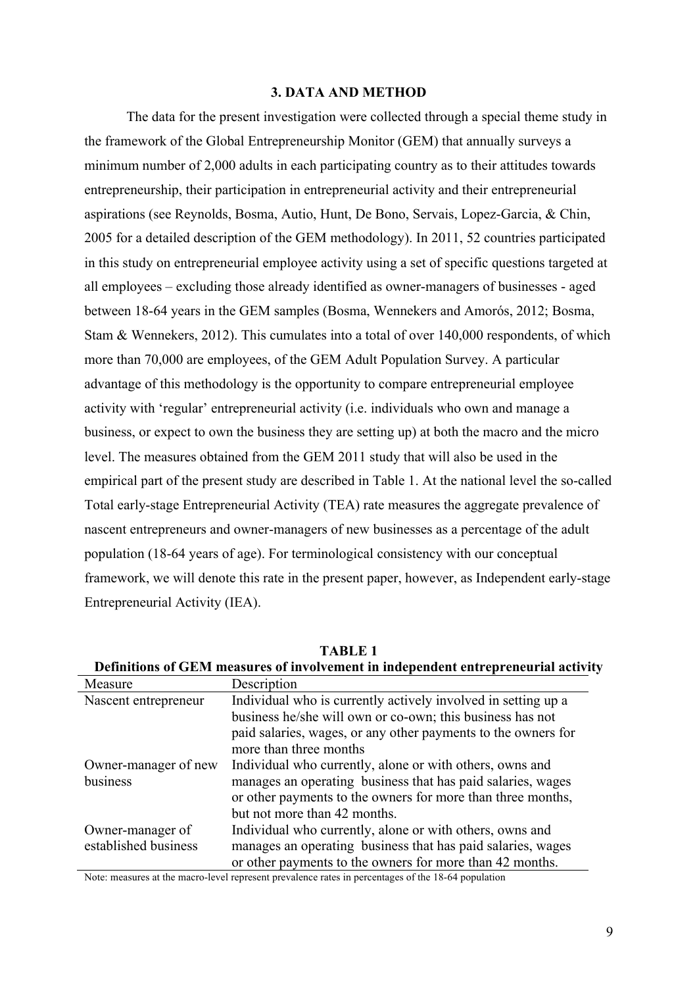#### **3. DATA AND METHOD**

The data for the present investigation were collected through a special theme study in the framework of the Global Entrepreneurship Monitor (GEM) that annually surveys a minimum number of 2,000 adults in each participating country as to their attitudes towards entrepreneurship, their participation in entrepreneurial activity and their entrepreneurial aspirations (see Reynolds, Bosma, Autio, Hunt, De Bono, Servais, Lopez-Garcia, & Chin, 2005 for a detailed description of the GEM methodology). In 2011, 52 countries participated in this study on entrepreneurial employee activity using a set of specific questions targeted at all employees – excluding those already identified as owner-managers of businesses - aged between 18-64 years in the GEM samples (Bosma, Wennekers and Amorós, 2012; Bosma, Stam & Wennekers, 2012). This cumulates into a total of over 140,000 respondents, of which more than 70,000 are employees, of the GEM Adult Population Survey. A particular advantage of this methodology is the opportunity to compare entrepreneurial employee activity with 'regular' entrepreneurial activity (i.e. individuals who own and manage a business, or expect to own the business they are setting up) at both the macro and the micro level. The measures obtained from the GEM 2011 study that will also be used in the empirical part of the present study are described in Table 1. At the national level the so-called Total early-stage Entrepreneurial Activity (TEA) rate measures the aggregate prevalence of nascent entrepreneurs and owner-managers of new businesses as a percentage of the adult population (18-64 years of age). For terminological consistency with our conceptual framework, we will denote this rate in the present paper, however, as Independent early-stage Entrepreneurial Activity (IEA).

| Measure              | Description                                                   |
|----------------------|---------------------------------------------------------------|
| Nascent entrepreneur | Individual who is currently actively involved in setting up a |
|                      | business he/she will own or co-own; this business has not     |
|                      | paid salaries, wages, or any other payments to the owners for |
|                      | more than three months                                        |
| Owner-manager of new | Individual who currently, alone or with others, owns and      |
| business             | manages an operating business that has paid salaries, wages   |
|                      | or other payments to the owners for more than three months,   |
|                      | but not more than 42 months.                                  |
| Owner-manager of     | Individual who currently, alone or with others, owns and      |
| established business | manages an operating business that has paid salaries, wages   |
|                      | or other payments to the owners for more than 42 months.      |

**TABLE 1 Definitions of GEM measures of involvement in independent entrepreneurial activity**

Note: measures at the macro-level represent prevalence rates in percentages of the 18-64 population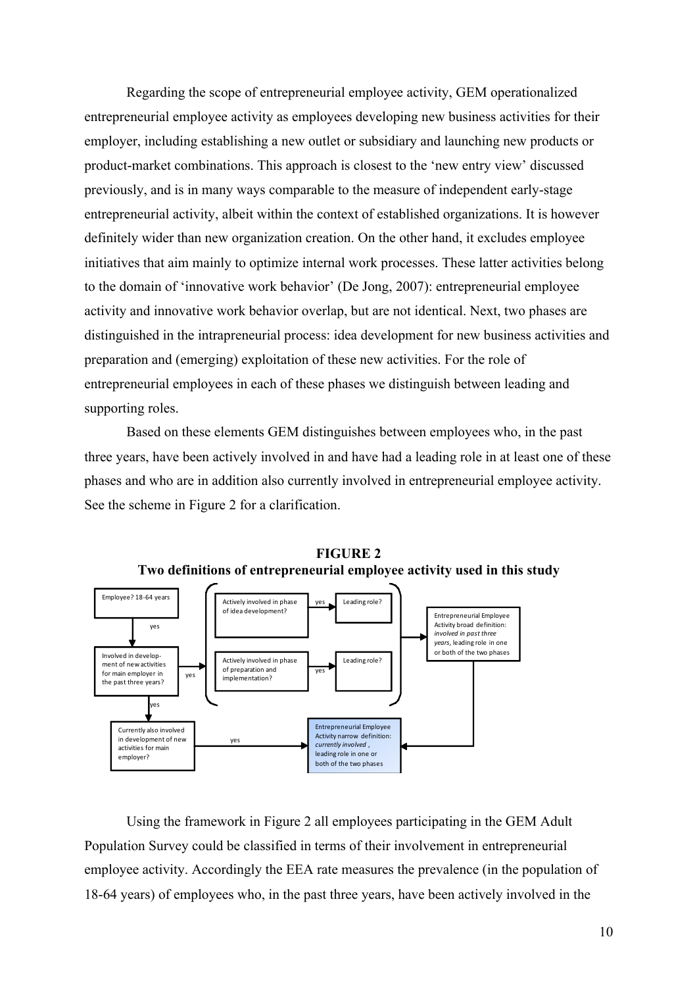Regarding the scope of entrepreneurial employee activity, GEM operationalized entrepreneurial employee activity as employees developing new business activities for their employer, including establishing a new outlet or subsidiary and launching new products or product-market combinations. This approach is closest to the 'new entry view' discussed previously, and is in many ways comparable to the measure of independent early-stage entrepreneurial activity, albeit within the context of established organizations. It is however definitely wider than new organization creation. On the other hand, it excludes employee initiatives that aim mainly to optimize internal work processes. These latter activities belong to the domain of 'innovative work behavior' (De Jong, 2007): entrepreneurial employee activity and innovative work behavior overlap, but are not identical. Next, two phases are distinguished in the intrapreneurial process: idea development for new business activities and preparation and (emerging) exploitation of these new activities. For the role of entrepreneurial employees in each of these phases we distinguish between leading and supporting roles.

Based on these elements GEM distinguishes between employees who, in the past three years, have been actively involved in and have had a leading role in at least one of these phases and who are in addition also currently involved in entrepreneurial employee activity. See the scheme in Figure 2 for a clarification.



**FIGURE 2 Two definitions of entrepreneurial employee activity used in this study**

Using the framework in Figure 2 all employees participating in the GEM Adult Population Survey could be classified in terms of their involvement in entrepreneurial employee activity. Accordingly the EEA rate measures the prevalence (in the population of 18-64 years) of employees who, in the past three years, have been actively involved in the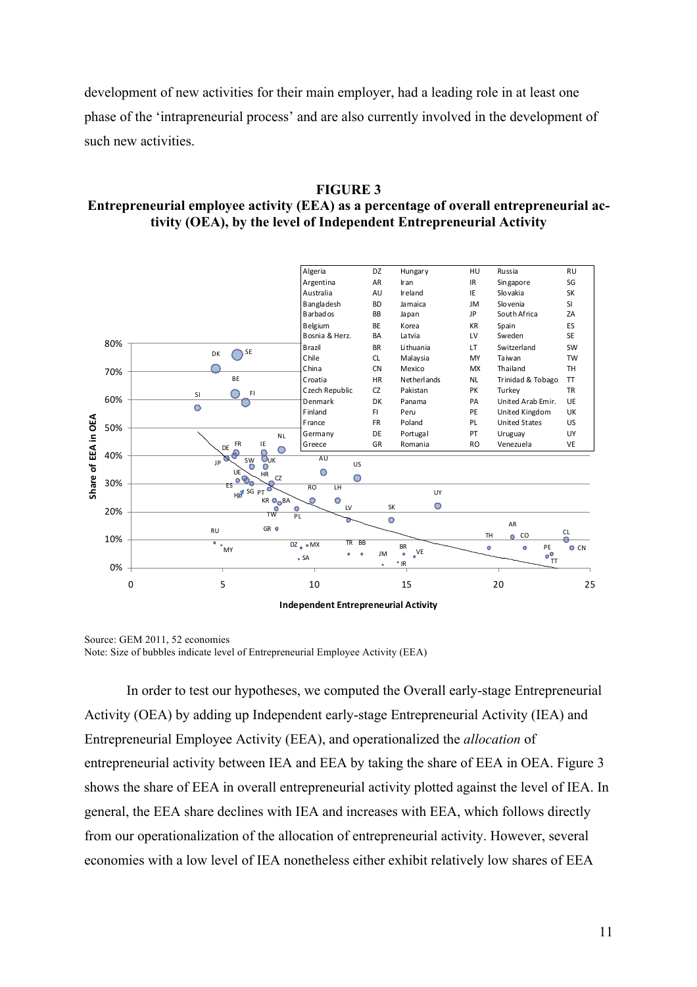development of new activities for their main employer, had a leading role in at least one phase of the 'intrapreneurial process' and are also currently involved in the development of such new activities.

#### **FIGURE 3**

# **Entrepreneurial employee activity (EEA) as a percentage of overall entrepreneurial activity (OEA), by the level of Independent Entrepreneurial Activity**



Source: GEM 2011, 52 economies Note: Size of bubbles indicate level of Entrepreneurial Employee Activity (EEA)

In order to test our hypotheses, we computed the Overall early-stage Entrepreneurial Activity (OEA) by adding up Independent early-stage Entrepreneurial Activity (IEA) and Entrepreneurial Employee Activity (EEA), and operationalized the *allocation* of entrepreneurial activity between IEA and EEA by taking the share of EEA in OEA. Figure 3 shows the share of EEA in overall entrepreneurial activity plotted against the level of IEA. In general, the EEA share declines with IEA and increases with EEA, which follows directly from our operationalization of the allocation of entrepreneurial activity. However, several economies with a low level of IEA nonetheless either exhibit relatively low shares of EEA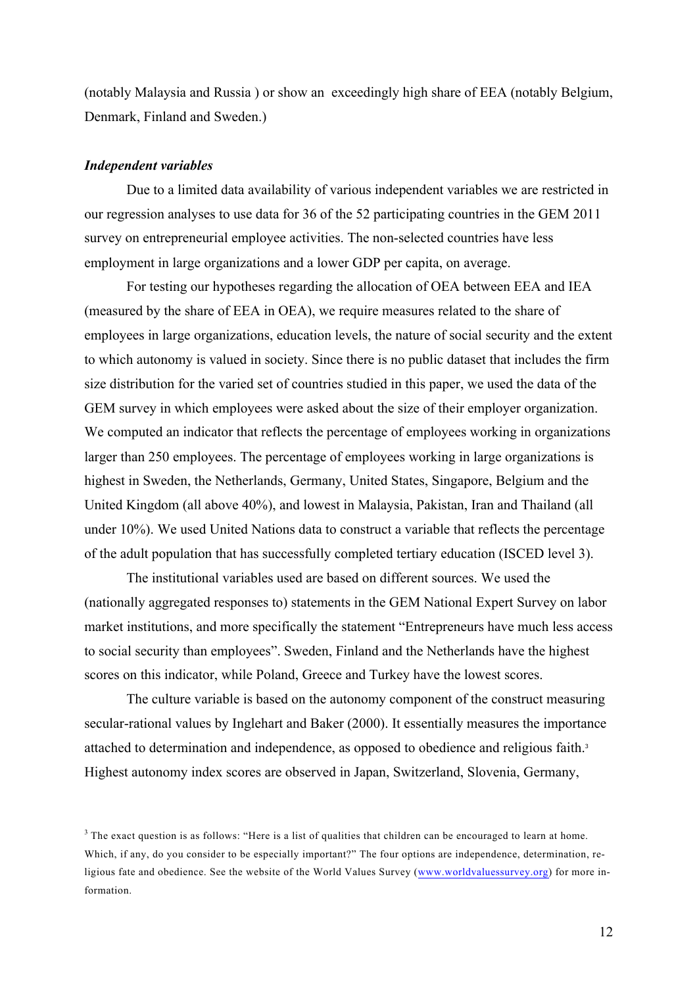(notably Malaysia and Russia ) or show an exceedingly high share of EEA (notably Belgium, Denmark, Finland and Sweden.)

#### *Independent variables*

Due to a limited data availability of various independent variables we are restricted in our regression analyses to use data for 36 of the 52 participating countries in the GEM 2011 survey on entrepreneurial employee activities. The non-selected countries have less employment in large organizations and a lower GDP per capita, on average.

For testing our hypotheses regarding the allocation of OEA between EEA and IEA (measured by the share of EEA in OEA), we require measures related to the share of employees in large organizations, education levels, the nature of social security and the extent to which autonomy is valued in society. Since there is no public dataset that includes the firm size distribution for the varied set of countries studied in this paper, we used the data of the GEM survey in which employees were asked about the size of their employer organization. We computed an indicator that reflects the percentage of employees working in organizations larger than 250 employees. The percentage of employees working in large organizations is highest in Sweden, the Netherlands, Germany, United States, Singapore, Belgium and the United Kingdom (all above 40%), and lowest in Malaysia, Pakistan, Iran and Thailand (all under 10%). We used United Nations data to construct a variable that reflects the percentage of the adult population that has successfully completed tertiary education (ISCED level 3).

The institutional variables used are based on different sources. We used the (nationally aggregated responses to) statements in the GEM National Expert Survey on labor market institutions, and more specifically the statement "Entrepreneurs have much less access to social security than employees". Sweden, Finland and the Netherlands have the highest scores on this indicator, while Poland, Greece and Turkey have the lowest scores.

The culture variable is based on the autonomy component of the construct measuring secular-rational values by Inglehart and Baker (2000). It essentially measures the importance attached to determination and independence, as opposed to obedience and religious faith.<sup>3</sup> Highest autonomy index scores are observed in Japan, Switzerland, Slovenia, Germany,

<sup>&</sup>lt;sup>3</sup> The exact question is as follows: "Here is a list of qualities that children can be encouraged to learn at home. Which, if any, do you consider to be especially important?" The four options are independence, determination, religious fate and obedience. See the website of the World Values Survey (www.worldvaluessurvey.org) for more information.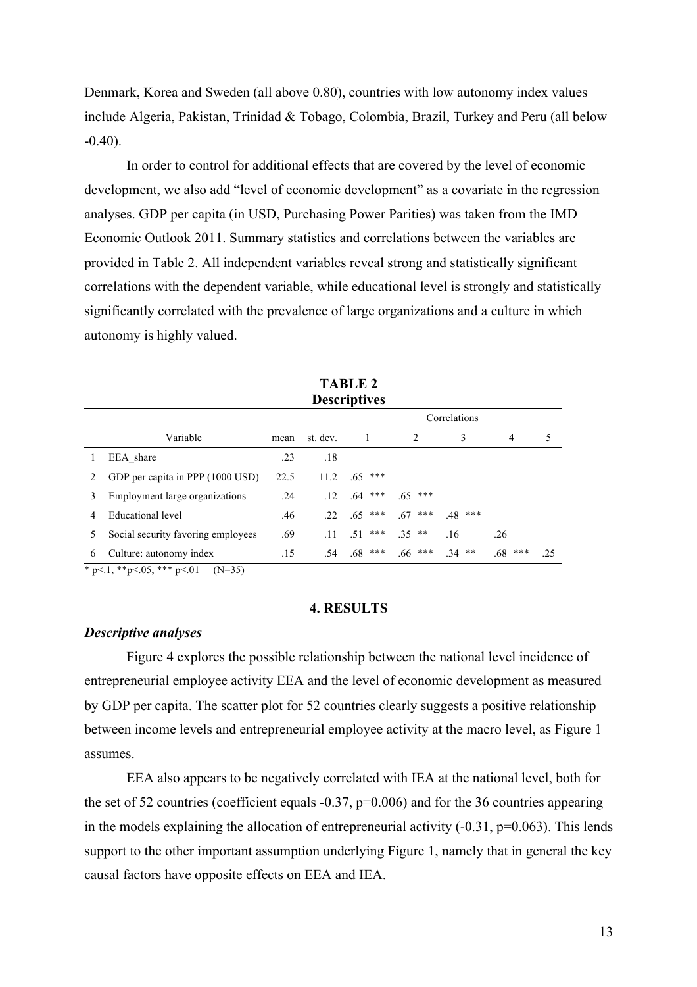Denmark, Korea and Sweden (all above 0.80), countries with low autonomy index values include Algeria, Pakistan, Trinidad & Tobago, Colombia, Brazil, Turkey and Peru (all below  $-0.40$ ).

In order to control for additional effects that are covered by the level of economic development, we also add "level of economic development" as a covariate in the regression analyses. GDP per capita (in USD, Purchasing Power Parities) was taken from the IMD Economic Outlook 2011. Summary statistics and correlations between the variables are provided in Table 2. All independent variables reveal strong and statistically significant correlations with the dependent variable, while educational level is strongly and statistically significantly correlated with the prevalence of large organizations and a culture in which autonomy is highly valued.

|   | <b>Descriptives</b>                                                               |      |          |              |            |           |           |     |  |
|---|-----------------------------------------------------------------------------------|------|----------|--------------|------------|-----------|-----------|-----|--|
|   |                                                                                   |      |          | Correlations |            |           |           |     |  |
|   | Variable                                                                          | mean | st. dev. |              | 2          | 3         | 4         | 5   |  |
|   | EEA share                                                                         | .23  | .18      |              |            |           |           |     |  |
| 2 | GDP per capita in PPP (1000 USD)                                                  | 22.5 | 11.2     | ***<br>.65   |            |           |           |     |  |
| 3 | Employment large organizations                                                    | .24  | .12      | ***<br>.64   | ***<br>.65 |           |           |     |  |
| 4 | Educational level                                                                 | .46  | 22.      | $.65$ ***    | ***<br>.67 | $.48$ *** |           |     |  |
| 5 | Social security favoring employees                                                | .69  | .11      | $51***$      | $35**$     | .16       | .26       |     |  |
| 6 | Culture: autonomy index                                                           | .15  | .54      | $.68$ ***    | $.66$ ***  | $34$ **   | $.68$ *** | .25 |  |
|   | * $n \times 1$ ** $n \times 05$ *** $n \times 01$<br>$(\mathbf{N} - 2\mathbf{K})$ |      |          |              |            |           |           |     |  |

**TABLE 2**

 $p<1$ , \*\*p<.05, \*\*\*  $p<01$  (N=35)

#### **4. RESULTS**

#### *Descriptive analyses*

Figure 4 explores the possible relationship between the national level incidence of entrepreneurial employee activity EEA and the level of economic development as measured by GDP per capita. The scatter plot for 52 countries clearly suggests a positive relationship between income levels and entrepreneurial employee activity at the macro level, as Figure 1 assumes.

EEA also appears to be negatively correlated with IEA at the national level, both for the set of 52 countries (coefficient equals  $-0.37$ , p=0.006) and for the 36 countries appearing in the models explaining the allocation of entrepreneurial activity  $(-0.31, p=0.063)$ . This lends support to the other important assumption underlying Figure 1, namely that in general the key causal factors have opposite effects on EEA and IEA.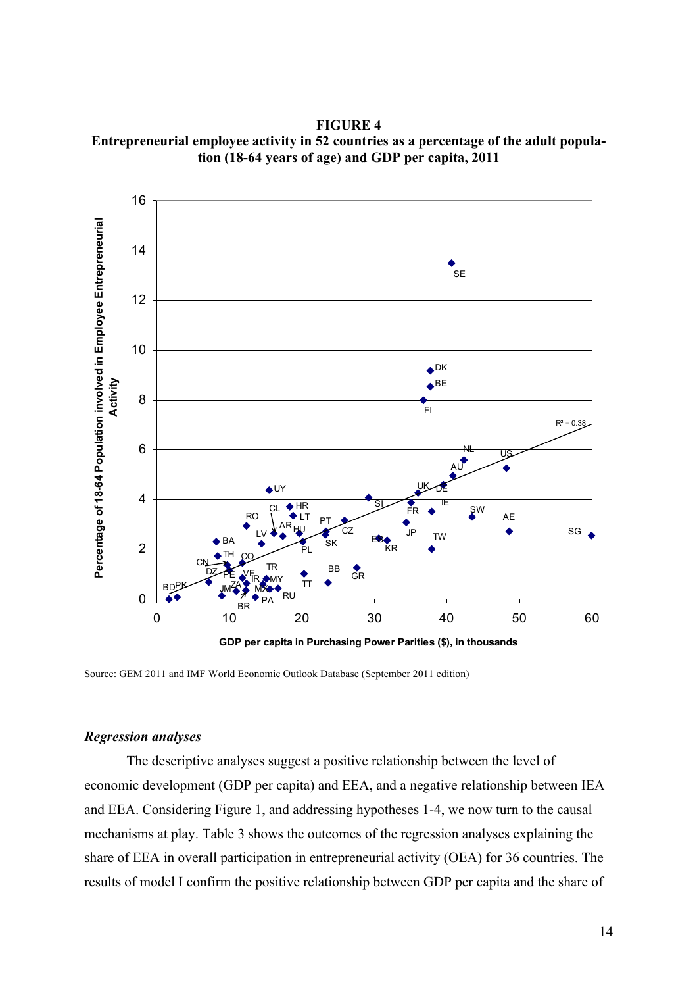**FIGURE 4 Entrepreneurial employee activity in 52 countries as a percentage of the adult population (18-64 years of age) and GDP per capita, 2011**



Source: GEM 2011 and IMF World Economic Outlook Database (September 2011 edition)

# *Regression analyses*

The descriptive analyses suggest a positive relationship between the level of economic development (GDP per capita) and EEA, and a negative relationship between IEA and EEA. Considering Figure 1, and addressing hypotheses 1-4, we now turn to the causal mechanisms at play. Table 3 shows the outcomes of the regression analyses explaining the share of EEA in overall participation in entrepreneurial activity (OEA) for 36 countries. The results of model I confirm the positive relationship between GDP per capita and the share of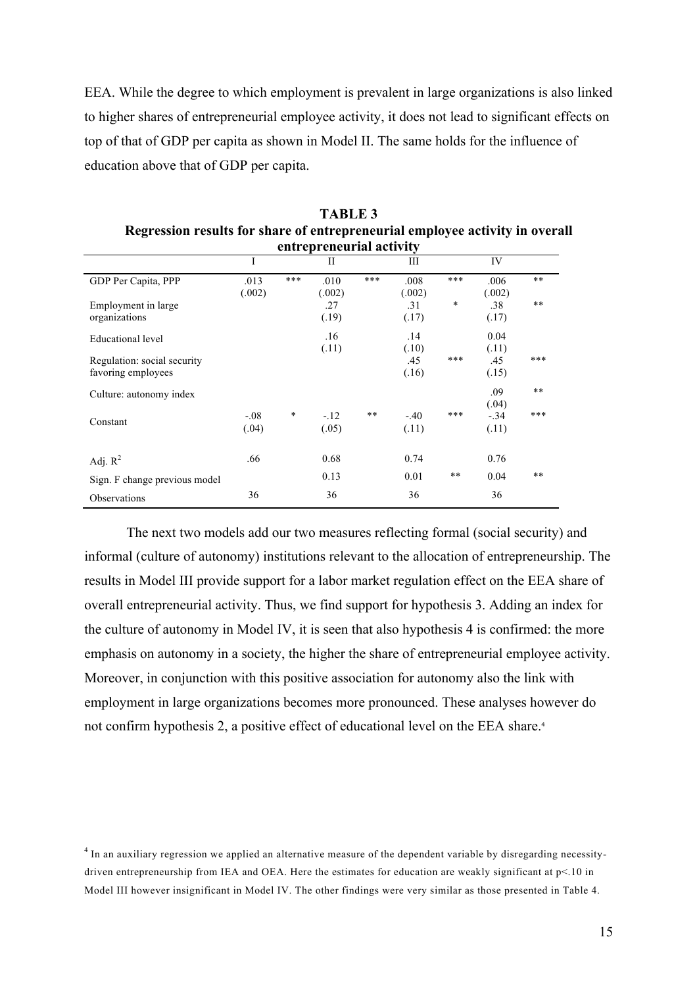EEA. While the degree to which employment is prevalent in large organizations is also linked to higher shares of entrepreneurial employee activity, it does not lead to significant effects on top of that of GDP per capita as shown in Model II. The same holds for the influence of education above that of GDP per capita.

|                               | entrepreneurial activity |        |              |     |        |       |        |       |
|-------------------------------|--------------------------|--------|--------------|-----|--------|-------|--------|-------|
|                               | I                        |        | $\mathbf{I}$ |     | Ш      |       | IV     |       |
| GDP Per Capita, PPP           | .013                     | ***    | .010         | *** | .008   | ***   | .006   | $**$  |
|                               | (.002)                   |        | (.002)       |     | (.002) |       | (.002) |       |
| Employment in large.          |                          |        | .27          |     | .31    | *     | .38    | $**$  |
| organizations                 |                          |        | (.19)        |     | (.17)  |       | (.17)  |       |
| Educational level             |                          |        | .16          |     | .14    |       | 0.04   |       |
|                               |                          |        | (.11)        |     | (.10)  |       | (.11)  |       |
| Regulation: social security   |                          |        |              |     | .45    | ***   | .45    | ***   |
| favoring employees            |                          |        |              |     | (.16)  |       | (.15)  |       |
| Culture: autonomy index       |                          |        |              |     |        |       | .09    | $***$ |
|                               |                          |        |              |     |        |       | (.04)  |       |
| Constant                      | $-.08$                   | $\ast$ | $-.12$       | **  | $-.40$ | ***   | $-.34$ | ***   |
|                               | (.04)                    |        | (.05)        |     | (.11)  |       | (.11)  |       |
|                               |                          |        |              |     |        |       |        |       |
| Adj. $R^2$                    | .66                      |        | 0.68         |     | 0.74   |       | 0.76   |       |
| Sign. F change previous model |                          |        | 0.13         |     | 0.01   | $***$ | 0.04   | $***$ |
| Observations                  | 36                       |        | 36           |     | 36     |       | 36     |       |

**TABLE 3 Regression results for share of entrepreneurial employee activity in overall** 

The next two models add our two measures reflecting formal (social security) and informal (culture of autonomy) institutions relevant to the allocation of entrepreneurship. The results in Model III provide support for a labor market regulation effect on the EEA share of overall entrepreneurial activity. Thus, we find support for hypothesis 3. Adding an index for the culture of autonomy in Model IV, it is seen that also hypothesis 4 is confirmed: the more emphasis on autonomy in a society, the higher the share of entrepreneurial employee activity. Moreover, in conjunction with this positive association for autonomy also the link with employment in large organizations becomes more pronounced. These analyses however do not confirm hypothesis 2, a positive effect of educational level on the EEA share.<sup>4</sup>

<sup>&</sup>lt;sup>4</sup> In an auxiliary regression we applied an alternative measure of the dependent variable by disregarding necessitydriven entrepreneurship from IEA and OEA. Here the estimates for education are weakly significant at p<.10 in Model III however insignificant in Model IV. The other findings were very similar as those presented in Table 4.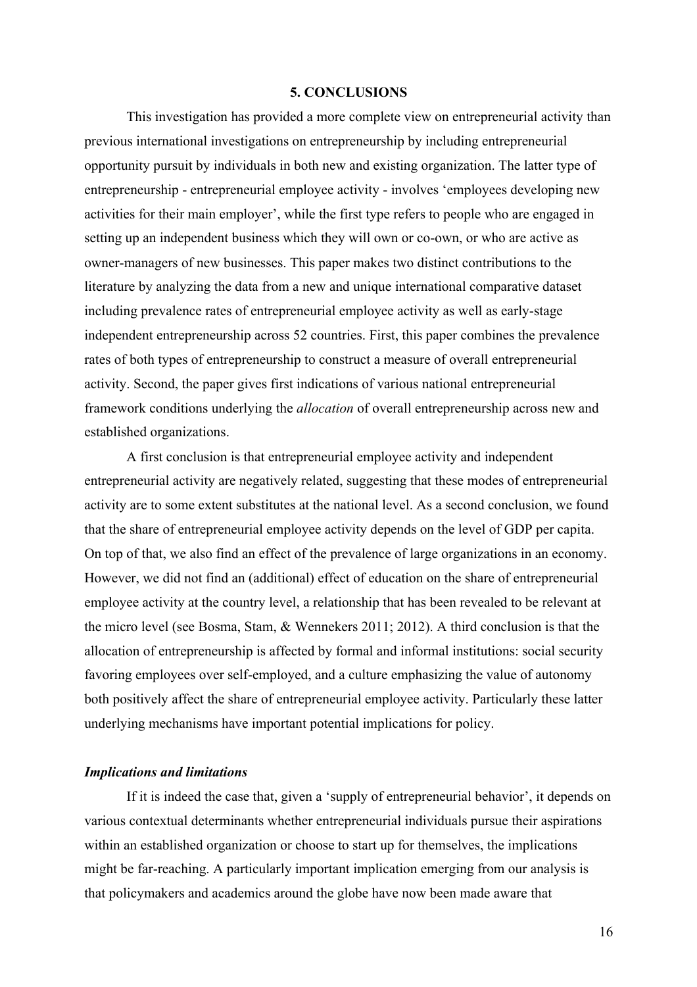#### **5. CONCLUSIONS**

This investigation has provided a more complete view on entrepreneurial activity than previous international investigations on entrepreneurship by including entrepreneurial opportunity pursuit by individuals in both new and existing organization. The latter type of entrepreneurship - entrepreneurial employee activity - involves 'employees developing new activities for their main employer', while the first type refers to people who are engaged in setting up an independent business which they will own or co-own, or who are active as owner-managers of new businesses. This paper makes two distinct contributions to the literature by analyzing the data from a new and unique international comparative dataset including prevalence rates of entrepreneurial employee activity as well as early-stage independent entrepreneurship across 52 countries. First, this paper combines the prevalence rates of both types of entrepreneurship to construct a measure of overall entrepreneurial activity. Second, the paper gives first indications of various national entrepreneurial framework conditions underlying the *allocation* of overall entrepreneurship across new and established organizations.

A first conclusion is that entrepreneurial employee activity and independent entrepreneurial activity are negatively related, suggesting that these modes of entrepreneurial activity are to some extent substitutes at the national level. As a second conclusion, we found that the share of entrepreneurial employee activity depends on the level of GDP per capita. On top of that, we also find an effect of the prevalence of large organizations in an economy. However, we did not find an (additional) effect of education on the share of entrepreneurial employee activity at the country level, a relationship that has been revealed to be relevant at the micro level (see Bosma, Stam, & Wennekers 2011; 2012). A third conclusion is that the allocation of entrepreneurship is affected by formal and informal institutions: social security favoring employees over self-employed, and a culture emphasizing the value of autonomy both positively affect the share of entrepreneurial employee activity. Particularly these latter underlying mechanisms have important potential implications for policy.

#### *Implications and limitations*

If it is indeed the case that, given a 'supply of entrepreneurial behavior', it depends on various contextual determinants whether entrepreneurial individuals pursue their aspirations within an established organization or choose to start up for themselves, the implications might be far-reaching. A particularly important implication emerging from our analysis is that policymakers and academics around the globe have now been made aware that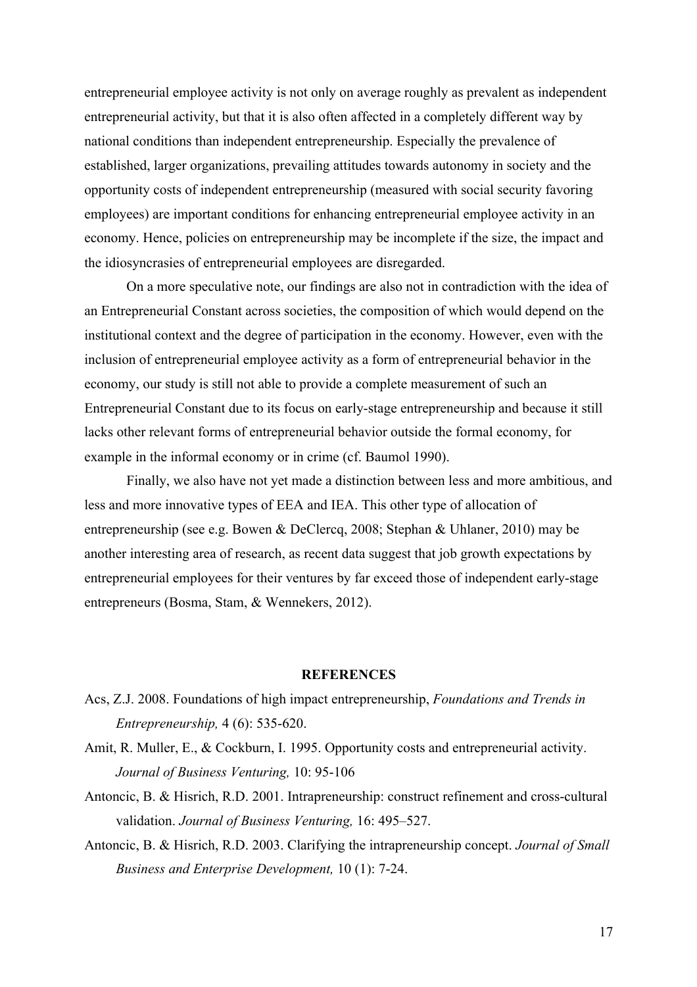entrepreneurial employee activity is not only on average roughly as prevalent as independent entrepreneurial activity, but that it is also often affected in a completely different way by national conditions than independent entrepreneurship. Especially the prevalence of established, larger organizations, prevailing attitudes towards autonomy in society and the opportunity costs of independent entrepreneurship (measured with social security favoring employees) are important conditions for enhancing entrepreneurial employee activity in an economy. Hence, policies on entrepreneurship may be incomplete if the size, the impact and the idiosyncrasies of entrepreneurial employees are disregarded.

On a more speculative note, our findings are also not in contradiction with the idea of an Entrepreneurial Constant across societies, the composition of which would depend on the institutional context and the degree of participation in the economy. However, even with the inclusion of entrepreneurial employee activity as a form of entrepreneurial behavior in the economy, our study is still not able to provide a complete measurement of such an Entrepreneurial Constant due to its focus on early-stage entrepreneurship and because it still lacks other relevant forms of entrepreneurial behavior outside the formal economy, for example in the informal economy or in crime (cf. Baumol 1990).

Finally, we also have not yet made a distinction between less and more ambitious, and less and more innovative types of EEA and IEA. This other type of allocation of entrepreneurship (see e.g. Bowen & DeClercq, 2008; Stephan & Uhlaner, 2010) may be another interesting area of research, as recent data suggest that job growth expectations by entrepreneurial employees for their ventures by far exceed those of independent early-stage entrepreneurs (Bosma, Stam, & Wennekers, 2012).

#### **REFERENCES**

- Acs, Z.J. 2008. Foundations of high impact entrepreneurship, *Foundations and Trends in Entrepreneurship,* 4 (6): 535-620.
- Amit, R. Muller, E., & Cockburn, I. 1995. Opportunity costs and entrepreneurial activity. *Journal of Business Venturing,* 10: 95-106
- Antoncic, B. & Hisrich, R.D. 2001. Intrapreneurship: construct refinement and cross-cultural validation. *Journal of Business Venturing,* 16: 495–527.
- Antoncic, B. & Hisrich, R.D. 2003. Clarifying the intrapreneurship concept. *Journal of Small Business and Enterprise Development,* 10 (1): 7-24.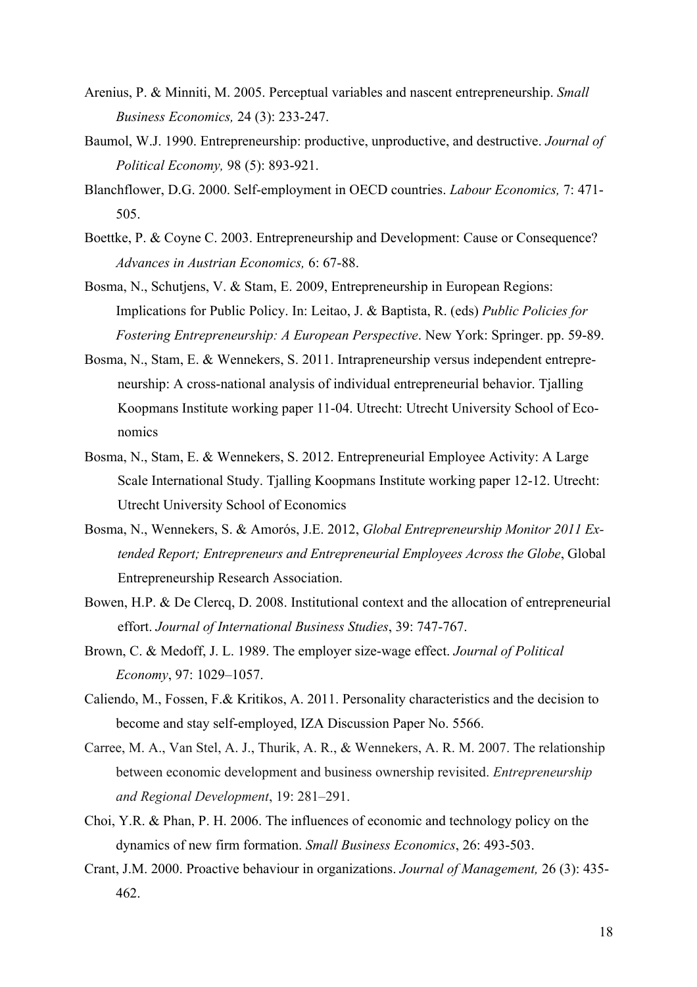- Arenius, P. & Minniti, M. 2005. Perceptual variables and nascent entrepreneurship. *Small Business Economics,* 24 (3): 233-247.
- Baumol, W.J. 1990. Entrepreneurship: productive, unproductive, and destructive. *Journal of Political Economy,* 98 (5): 893-921.
- Blanchflower, D.G. 2000. Self-employment in OECD countries. *Labour Economics,* 7: 471- 505.
- Boettke, P. & Coyne C. 2003. Entrepreneurship and Development: Cause or Consequence? *Advances in Austrian Economics,* 6: 67-88.
- Bosma, N., Schutjens, V. & Stam, E. 2009, Entrepreneurship in European Regions: Implications for Public Policy. In: Leitao, J. & Baptista, R. (eds) *Public Policies for Fostering Entrepreneurship: A European Perspective*. New York: Springer. pp. 59-89.
- Bosma, N., Stam, E. & Wennekers, S. 2011. Intrapreneurship versus independent entrepreneurship: A cross-national analysis of individual entrepreneurial behavior. Tjalling Koopmans Institute working paper 11-04. Utrecht: Utrecht University School of Economics
- Bosma, N., Stam, E. & Wennekers, S. 2012. Entrepreneurial Employee Activity: A Large Scale International Study. Tjalling Koopmans Institute working paper 12-12. Utrecht: Utrecht University School of Economics
- Bosma, N., Wennekers, S. & Amorós, J.E. 2012, *Global Entrepreneurship Monitor 2011 Extended Report; Entrepreneurs and Entrepreneurial Employees Across the Globe*, Global Entrepreneurship Research Association.
- Bowen, H.P. & De Clercq, D. 2008. Institutional context and the allocation of entrepreneurial effort. *Journal of International Business Studies*, 39: 747-767.
- Brown, C. & Medoff, J. L. 1989. The employer size-wage effect. *Journal of Political Economy*, 97: 1029–1057.
- Caliendo, M., Fossen, F.& Kritikos, A. 2011. Personality characteristics and the decision to become and stay self-employed, IZA Discussion Paper No. 5566.
- Carree, M. A., Van Stel, A. J., Thurik, A. R., & Wennekers, A. R. M. 2007. The relationship between economic development and business ownership revisited. *Entrepreneurship and Regional Development*, 19: 281–291.
- Choi, Y.R. & Phan, P. H. 2006. The influences of economic and technology policy on the dynamics of new firm formation. *Small Business Economics*, 26: 493-503.
- Crant, J.M. 2000. Proactive behaviour in organizations. *Journal of Management,* 26 (3): 435- 462.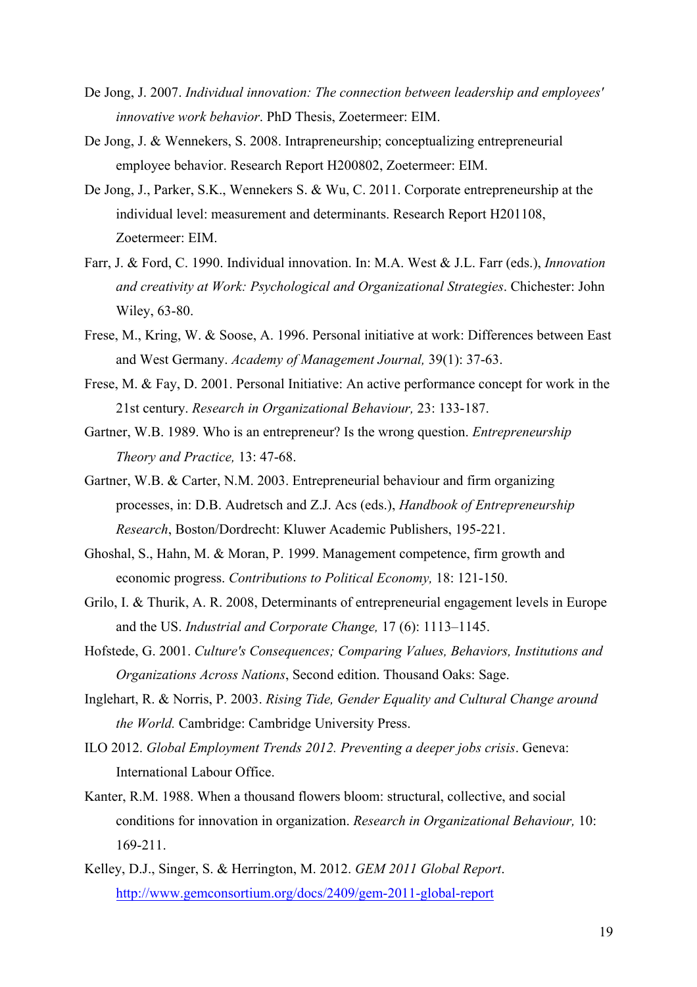- De Jong, J. 2007. *Individual innovation: The connection between leadership and employees' innovative work behavior*. PhD Thesis, Zoetermeer: EIM.
- De Jong, J. & Wennekers, S. 2008. Intrapreneurship; conceptualizing entrepreneurial employee behavior. Research Report H200802, Zoetermeer: EIM.
- De Jong, J., Parker, S.K., Wennekers S. & Wu, C. 2011. Corporate entrepreneurship at the individual level: measurement and determinants. Research Report H201108, Zoetermeer: EIM.
- Farr, J. & Ford, C. 1990. Individual innovation. In: M.A. West & J.L. Farr (eds.), *Innovation and creativity at Work: Psychological and Organizational Strategies*. Chichester: John Wiley, 63-80.
- Frese, M., Kring, W. & Soose, A. 1996. Personal initiative at work: Differences between East and West Germany. *Academy of Management Journal,* 39(1): 37-63.
- Frese, M. & Fay, D. 2001. Personal Initiative: An active performance concept for work in the 21st century. *Research in Organizational Behaviour,* 23: 133-187.
- Gartner, W.B. 1989. Who is an entrepreneur? Is the wrong question. *Entrepreneurship Theory and Practice,* 13: 47-68.
- Gartner, W.B. & Carter, N.M. 2003. Entrepreneurial behaviour and firm organizing processes, in: D.B. Audretsch and Z.J. Acs (eds.), *Handbook of Entrepreneurship Research*, Boston/Dordrecht: Kluwer Academic Publishers, 195-221.
- Ghoshal, S., Hahn, M. & Moran, P. 1999. Management competence, firm growth and economic progress. *Contributions to Political Economy,* 18: 121-150.
- Grilo, I. & Thurik, A. R. 2008, Determinants of entrepreneurial engagement levels in Europe and the US. *Industrial and Corporate Change,* 17 (6): 1113–1145.
- Hofstede, G. 2001. *Culture's Consequences; Comparing Values, Behaviors, Institutions and Organizations Across Nations*, Second edition. Thousand Oaks: Sage.
- Inglehart, R. & Norris, P. 2003. *Rising Tide, Gender Equality and Cultural Change around the World.* Cambridge: Cambridge University Press.
- ILO 2012. *Global Employment Trends 2012. Preventing a deeper jobs crisis*. Geneva: International Labour Office.
- Kanter, R.M. 1988. When a thousand flowers bloom: structural, collective, and social conditions for innovation in organization. *Research in Organizational Behaviour,* 10: 169-211.
- Kelley, D.J., Singer, S. & Herrington, M. 2012. *GEM 2011 Global Report*. http://www.gemconsortium.org/docs/2409/gem-2011-global-report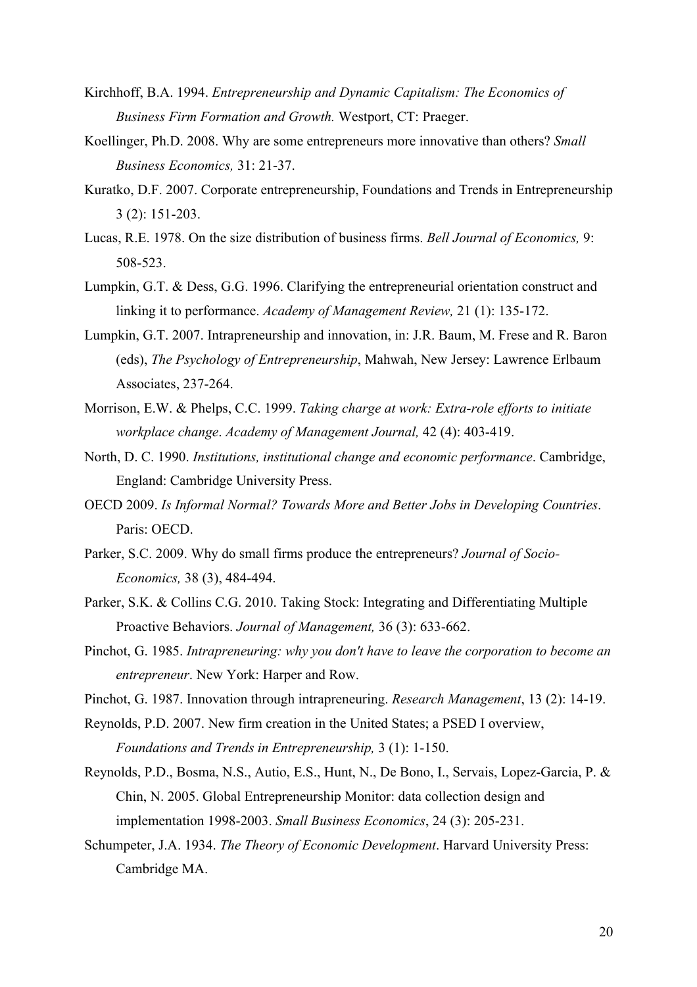- Kirchhoff, B.A. 1994. *Entrepreneurship and Dynamic Capitalism: The Economics of Business Firm Formation and Growth.* Westport, CT: Praeger.
- Koellinger, Ph.D. 2008. Why are some entrepreneurs more innovative than others? *Small Business Economics,* 31: 21-37.
- Kuratko, D.F. 2007. Corporate entrepreneurship, Foundations and Trends in Entrepreneurship 3 (2): 151-203.
- Lucas, R.E. 1978. On the size distribution of business firms. *Bell Journal of Economics,* 9: 508-523.
- Lumpkin, G.T. & Dess, G.G. 1996. Clarifying the entrepreneurial orientation construct and linking it to performance. *Academy of Management Review,* 21 (1): 135-172.
- Lumpkin, G.T. 2007. Intrapreneurship and innovation, in: J.R. Baum, M. Frese and R. Baron (eds), *The Psychology of Entrepreneurship*, Mahwah, New Jersey: Lawrence Erlbaum Associates, 237-264.
- Morrison, E.W. & Phelps, C.C. 1999. *Taking charge at work: Extra-role efforts to initiate workplace change*. *Academy of Management Journal,* 42 (4): 403-419.
- North, D. C. 1990. *Institutions, institutional change and economic performance*. Cambridge, England: Cambridge University Press.
- OECD 2009. *Is Informal Normal? Towards More and Better Jobs in Developing Countries*. Paris: OECD.
- Parker, S.C. 2009. Why do small firms produce the entrepreneurs? *Journal of Socio-Economics,* 38 (3), 484-494.
- Parker, S.K. & Collins C.G. 2010. Taking Stock: Integrating and Differentiating Multiple Proactive Behaviors. *Journal of Management,* 36 (3): 633-662.
- Pinchot, G. 1985. *Intrapreneuring: why you don't have to leave the corporation to become an entrepreneur*. New York: Harper and Row.
- Pinchot, G. 1987. Innovation through intrapreneuring. *Research Management*, 13 (2): 14-19.
- Reynolds, P.D. 2007. New firm creation in the United States; a PSED I overview,

*Foundations and Trends in Entrepreneurship,* 3 (1): 1-150.

- Reynolds, P.D., Bosma, N.S., Autio, E.S., Hunt, N., De Bono, I., Servais, Lopez-Garcia, P. & Chin, N. 2005. Global Entrepreneurship Monitor: data collection design and implementation 1998-2003. *Small Business Economics*, 24 (3): 205-231.
- Schumpeter, J.A. 1934. *The Theory of Economic Development*. Harvard University Press: Cambridge MA.